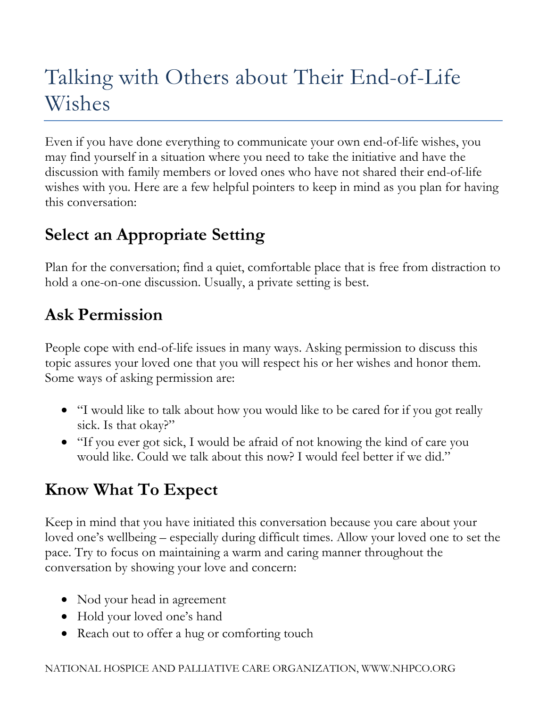# Talking with Others about Their End-of-Life Wishes

Even if you have done everything to communicate your own end-of-life wishes, you may find yourself in a situation where you need to take the initiative and have the discussion with family members or loved ones who have not shared their end-of-life wishes with you. Here are a few helpful pointers to keep in mind as you plan for having this conversation:

## **Select an Appropriate Setting**

Plan for the conversation; find a quiet, comfortable place that is free from distraction to hold a one-on-one discussion. Usually, a private setting is best.

#### **Ask Permission**

People cope with end-of-life issues in many ways. Asking permission to discuss this topic assures your loved one that you will respect his or her wishes and honor them. Some ways of asking permission are:

- "I would like to talk about how you would like to be cared for if you got really sick. Is that okay?"
- "If you ever got sick, I would be afraid of not knowing the kind of care you would like. Could we talk about this now? I would feel better if we did."

### **Know What To Expect**

Keep in mind that you have initiated this conversation because you care about your loved one's wellbeing – especially during difficult times. Allow your loved one to set the pace. Try to focus on maintaining a warm and caring manner throughout the conversation by showing your love and concern:

- Nod your head in agreement
- Hold your loved one's hand
- Reach out to offer a hug or comforting touch